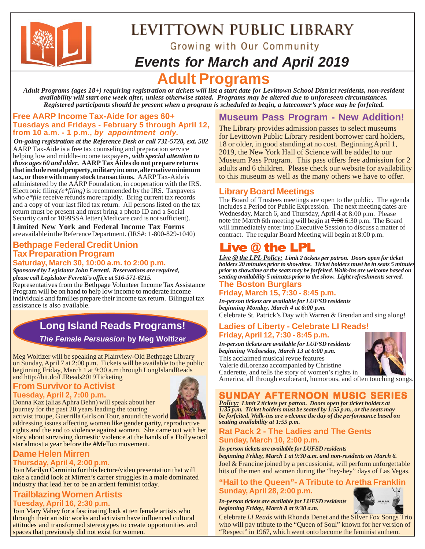

# LEVITTOWN PUBLIC LIBRARY

Growing with Our Community

## *Events for March and April 2019*

## **t Programs**

*Adult Programs (ages 18+) requiring registration or tickets will list a start date for Levittown School District residents, non-resident availability will start one week after, unless otherwise stated. Programs may be altered due to unforeseen circumstances. Registered participants should be present when a program is scheduled to begin, a latecomer's place may be forfeited.*

### **Free AARP Income Tax-Aide for ages 60+ Tuesdays and Fridays - February 5 through April 12, from 10 a.m. - 1 p.m.,** *by appointment only.*

*On-going registration at the Reference Desk or call 731-5728, ext. 502* AARP Tax-Aide is a free tax counseling and preparation service helping low and middle-income taxpayers, *with special attention to those ages 60 and older.* **AARP Tax Aides do not prepare returns that include rental property, military income, alternative minimum tax, or those with many stock transactions.** AARP Tax-Aide is administered by the AARP Foundation, in cooperation with the IRS. Electronic filing *(e\*filing)* is recommended by the IRS. Taxpayers who *e\*file* receive refunds more rapidly. Bring current tax records and a copy of your last filed tax return. All persons listed on the tax return must be present and must bring a photo ID and a Social Security card or 1099SSA letter (Medicare card is not sufficient).

**Limited New York and Federal Income Tax Forms** are available in the Reference Department. (IRS#: 1-800-829-1040)

## **Bethpage Federal Credit Union Tax Preparation Program**

**Saturday, March 30, 10:00 a.m. to 2:00 p.m.** *Sponsored by Legislator John Ferretti. Reservations are required,*

*please call Legislator Ferretti's office at 516-571-6215.* Representatives from the Bethpage Volunteer Income Tax Assistance Program will be on hand to help low income to moderate income individuals and families prepare their income tax return. Bilingual tax assistance is also available.

## **Long Island Reads Programs!**

*The Female Persuasion* **by Meg Woltizer**

Meg Woltizer will be speaking at Plainview-Old Bethpage Library on Sunday, April 7 at 2:00 p.m. Tickets will be available to the public beginning Friday, March 1 at 9:30 a.m through LongIslandReads and http://bit.do/LIReads2019Ticketing

## **From Survivor to Activist**

### **Tuesday, April 2, 7:00 p.m.**



Donna Kaz (alias Aphra Behn) will speak about her journey for the past 20 years leading the touring activist troupe, Guerrilla Girls on Tour, around the world

addressing issues affecting women like gender parity, reproductive rights and the end to violence against women. She came out with her story about surviving domestic violence at the hands of a Hollywood star almost a year before the #MeToo movement.

## **Dame Helen Mirren**

### **Thursday, April 4, 2:00 p.m.**

Join Marilyn Carminio for this lecture/video presentation that will take a candid look at Mirren's career struggles in a male dominated industry that lead her to be an ardent feminist today.

### **Trailblazing Women Artists Tuesday, April 16, 2:30 p.m.**

Join Mary Vahey for a fascinating look at ten female artists who through their artistic works and activism have influenced cultural attitudes and transformed stereotypes to create opportunities and spaces that previously did not exist for women.

## **Museum Pass Program - New Addition!**

The Library provides admission passes to select museums for Levittown Public Library resident borrower card holders, 18 or older, in good standing at no cost. Beginning April 1, 2019, the New York Hall of Science will be added to our Museum Pass Program. This pass offers free admission for 2 adults and 6 children. Please check our website for availability to this museum as well as the many others we have to offer.

## **Library Board Meetings**

The Board of Trustees meetings are open to the public. The agenda includes a Period for Public Expression. The next meeting dates are Wednesday, March 6, and Thursday, April 4 at 8:00 p.m. Please note the March 6th meeting will begin at 7:00 6:30 p.m. The Board will immediately enter into Executive Session to discuss a matter of contract. The regular Board Meeting will begin at 8:00 p.m.

## ive  $\omega$  the LPL

**The Boston Burglars** *Live @ the LPL Policy: Limit 2 tickets per patron. Doors open for ticket holders 20 minutes prior to showtime. Ticket holders must be in seats 5 minutes prior to showtime or the seats may be forfeited. Walk-ins are welcome based on seating availability 5 minutes prior to the show. Light refreshments served.*

## **Friday, March 15, 7:30 - 8:45 p.m.**

*In-person tickets are available for LUFSD residents beginning Monday, March 4 at 6:00 p.m.* Celebrate St. Patrick's Day with Warren & Brendan and sing along!

### **Ladies of Liberty - Celebrate LI Reads! Friday, April 12, 7:30 - 8:45 p.m.**

*In-person tickets are available for LUFSD residents beginning Wednesday, March 13 at 6:00 p.m.* This acclaimed musical revue features

Valerie diLorenzo accompanied by Christine



Caderette, and tells the story of women's rights in America, all through exuberant, humorous, and often touching songs.

## **SUNDAY AFTERNOON MUSIC SERIES**

*Policy: Limit 2 tickets per patron. Doors open for ticket holders at 1:35 p.m. Ticket holders must be seated by 1:55 p.m., or the seats may be forfeited. Walk-ins are welcome the day of the performance based on seating availability at 1:55 p.m.*

### **Rat Pack 2 - The Ladies and The Gents Sunday, March 10, 2:00 p.m.**

*In-person tickets are available for LUFSD residents*

Joel & Francine joined by a percussionist, will perform unforgettable hits of the men and women during the "hey-hey" days of Las Vegas. *beginning Friday, March 1 at 9:30 a.m. and non-residents on March 6.*

### **"Hail to the Queen"- A Tribute to Aretha Franklin Sunday, April 28, 2:00 p.m.**

*In-person tickets are available for LUFSD residents beginning Friday, March 8 at 9:30 a.m.*



Celebrate *LI Reads* with Rhonda Denet and the Silver Fox Songs Trio who will pay tribute to the "Queen of Soul" known for her version of "Respect" in 1967, which went onto become the feminist anthem.

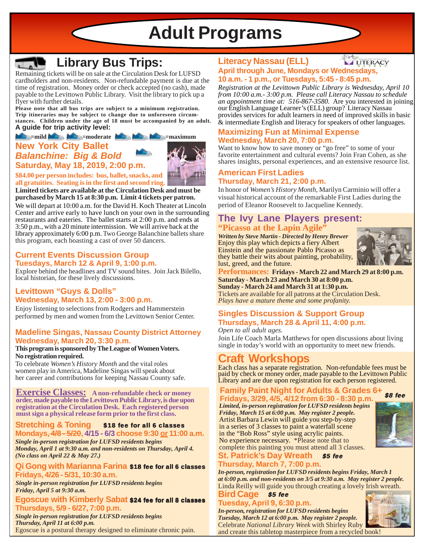**Adult Programs**



## **Library Bus Trips:**

Remaining tickets will be on sale at the Circulation Desk for LUFSD cardholders and non-residents. Non-refundable payment is due at the time of registration. Money order or check accepted (no cash), made payable to the Levittown Public Library. Visit the library to pick up a flyer with further details.

**Please note that all bus trips are subject to a minimum registration. Trip itineraries may be subject to change due to unforeseen circumstances. Children under the age of 18 must be accompanied by an adult. A guide for trip activity level:**

### **Note as a straightfully defined as a straightfully defined as a straightfully defined as a straightfully defined as a straightfully defined as a straightfully defined as**  $\mathbf{M}$

## **New York City Ballet** *Balanchine: Big & Bold* **Saturday, May 18, 2019, 2:00 p.m.**



**\$84.00 per person includes: bus, ballet, snacks, and all gratuities. Seating is in the first and second ring.**

**Limited tickets are available at the Circulation Desk and must be purchased by March 15 at 8:30 p.m. Limit 4 tickets per patron.**

We will depart at 10:00 a.m. for the David H. Koch Theater at Lincoln Center and arrive early to have lunch on your own in the surrounding restaurants and eateries. The ballet starts at 2:00 p.m. and ends at 3:50 p.m., with a 20 minute intermission. We will arrive back at the library approximately 6:00 p.m. Two George Balanchine ballets share this program, each boasting a cast of over 50 dancers.

### **Current Events Discussion Group Tuesdays, March 12 & April 9, 1:00 p.m.**

Explore behind the headlines and TV sound bites. Join Jack Bilello, local historian, for these lively discussions.

### **Levittown "Guys & Dolls" Wednesday, March 13, 2:00 - 3:00 p.m.**

Enjoy listening to selections from Rodgers and Hammerstein performed by men and women from the Levittown Senior Center.

### **Madeline Singas, Nassau County District Attorney Wednesday, March 20, 3:30 p.m.**

### **This program is sponsored by The League of Women Voters. No registration required.**

To celebrate *Women's History Month* and the vital roles women play in America, Madeline Singas will speak about her career and contributions for keeping Nassau County safe.

**Exercise Classes: A non-refundable check or money order, made payable to the Levittown Public Library, is due upon registration at the Circulation Desk. Each registered person must sign a physical release form prior to the first class.**

#### **Stretching & Toning** \$18 fee for all 6 classes

*Single in-person registration for LUFSD residents begins Monday, April 1 at 9:30 a.m. and non-residents on Thursday, April 4. (No class on April 22 & May 27.)* **Mondays, 4/8 - 5/20, 4/15 - 6/3 choose 9:30 or 11:00 a.m.**

### Qi Gong with Marianna Farina \$18 fee for all 6 classes **Fridays, 4/26 - 5/31, 10:30 a.m.**

*Single in-person registration for LUFSD residents begins Friday, April 5 at 9:30 a.m.*

### Egoscue with Kimberly Sabat \$24 fee for all 8 classes **Thursdays, 5/9 - 6/27, 7:00 p.m.**

*Single in-person registration for LUFSD residents begins Thursday, April 11 at 6:00 p.m.* Egoscue is a postural therapy designed to eliminate chronic pain.

#### **Literacy Nassau (ELL) LITERACY April through June, Mondays or Wednesdays, 10 a.m. - 1 p.m., or Tuesdays, 5:45 - 8:45 p.m.**

*Registration at the Levittown Public Library is Wednesday, April 10 from 10:00 a.m.- 3:00 p.m. Please call Literacy Nassau to schedule an appointment time at: 516-867-3580.* Are you interested in joining our English Language Learner's (ELL) group? Literacy Nassau provides services for adult learners in need of improved skills in basic & intermediate English and literacy for speakers of other languages.

### **Maximizing Fun at Minimal Expense Wednesday, March 20, 7:00 p.m.**

Want to know how to save money or "go free" to some of your favorite entertainment and cultural events? Join Fran Cohen, as she shares insights, personal experiences, and an extensive resource list.

### **American First Ladies Thursday, March 21, 2:00 p.m.**

In honor of *Women's History Month*, Marilyn Carminio will offer a visual historical account of the remarkable First Ladies during the period of Eleanor Roosevelt to Jacqueline Kennedy.

### **"Picasso at the Lapin Agile" The Ivy Lane Players present:**

*Written by Steve Martin - Directed by Henry Brewer* Enjoy this play which depicts a fiery Albert Einstein and the passionate Pablo Picasso as they battle their wits about painting, probability, lust, greed, and the future.



**Performances: Fridays - March 22 and March 29 at 8:00 p.m. Saturday - March 23 and March 30 at 8:00 p.m. Sunday - March 24 and March 31 at 1:30 p.m.**

Tickets are available for all patrons at the Circulation Desk. *Plays have a mature theme and some profanity.*

## **Singles Discussion & Support Group Thursdays, March 28 & April 11, 4:00 p.m.**

Join Life Coach Marla Matthews for open discussions about living single in today's world with an opportunity to meet new friends. *Open to all adult ages.*

## **Craft Workshops**

Each class has a separate registration. Non-refundable fees must be paid by check or money order, made payable to the Levittown Public Library and are due upon registration for each person registered.

## **Family Paint Night for Adults & Grades 6+**

**Fridays, 3/29, 4/5, 4/12 from 6:30 - 8:30 p.m.** \$8 fee Artist Barbara Lewin will guide you step-by-step in a series of 3 classes to paint a waterfall scene in the "Bob Ross" style using acrylic paints. No experience necessary. \*Please note that to complete this painting you must attend all 3 classes. *Limited, in-person registration for LUFSD residents begins Friday, March 15 at 6:00 p.m. May register 2 people.*



#### **St. Patrick's Day Wreath Thursday, March 7, 7:00 p.m.** \$5 fee

Linda Reilly will guide you through creating a lovely Irish wreath. *In-person, registration for LUFSD residents begins Friday, March 1 at 6:00 p.m. and non-residents on 3/5 at 9:30 a.m. May register 2 people.*

**Bird Cage Tuesday, April 9, 6:30 p.m.** \$5 fee

Celebrate *National Library Week* with Shirley Ruby and create this tabletop masterpiece from a recycled book! *In-person, registration for LUFSD residents begins Tuesday, March 12 at 6:00 p.m. May register 2 people.*

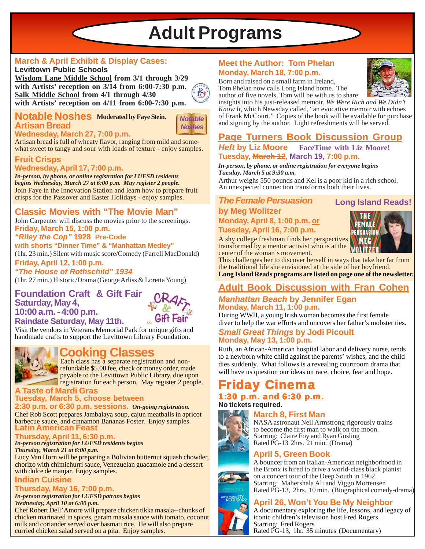# **Adult Programs**

## **March & April Exhibit & Display Cases:**

**Levittown Public Schools Wisdom Lane Middle School from 3/1 through 3/29 with Artists' reception on 3/14 from 6:00-7:30 p.m. Salk Middle School from 4/1 through 4/30 with Artists' reception on 4/11 from 6:00-7:30 p.m.**

### **Notable Noshes Moderated by Faye Stein. Artisan Bread**

**Wednesday, March 27, 7:00 p.m.**

*Notable Noshes*

 $B_1$ 

Artisan bread is full of wheaty flavor, ranging from mild and somewhat sweet to tangy and sour with loads of texture - enjoy samples.

### **Fruit Crisps Wednesday, April 17, 7:00 p.m.**

Join Faye in the Innovation Station and learn how to prepare fruit crisps for the Passover and Easter Holidays - enjoy samples. *In-person, by phone, or online registration for LUFSD residents begins Wednesday, March 27 at 6:00 p.m. May register 2 people.*

## **Classic Movies with "The Movie Man"**

**Friday, March 15, 1:00 p.m.** John Carpenter will discuss the movies prior to the screenings.

### *"Riley the Cop"* **1928 Pre-Code**

**with shorts "Dinner Time" & "Manhattan Medley"** (1hr. 23 min.) Silent with music score/Comedy (Farrell MacDonald)

### **Friday, April 12, 1:00 p.m.** *"The House of Rothschild" 1934*

(1hr. 27 min.) Historic/Drama (George Arliss & Loretta Young)

### **Foundation Craft & Gift Fair Saturday, May 4, 10:00 a.m. - 4:00 p.m. Raindate Saturday, May 11th.**



Visit the vendors in Veterans Memorial Park for unique gifts and handmade crafts to support the Levittown Library Foundation.



## **Cooking Classes**

Each class has a separate registration and non**refundable \$5.00 fee, check or money order, made** payable to the Levittown Public Library, due upon registration for each person. May register 2 people.

## **A Taste of Mardi Gras**

#### **Tuesday, March 5, choose between 2:30 p.m. or 6:30 p.m. sessions.** *On-going registration.*

**Latin American Feast** Chef Rob Scott prepares Jambalaya soup, cajun meatballs in apricot barbecue sauce, and cinnamon Bananas Foster. Enjoy samples.

### **Thursday, April 11, 6:30 p.m.**

*In-person registration for LUFSD residents begins Thursday, March 21 at 6:00 p.m.*

Lucy Van Horn will be preparing a Bolivian butternut squash chowder, chorizo with chimichurri sauce, Venezuelan guacamole and a dessert with dulce de manjar. Enjoy samples.

### **Indian Cuisine**

## **Thursday, May 16, 7:00 p.m.**

*In-person registration for LUFSD patrons begins Wednesday, April 10 at 6:00 p.m.*

Chef Robert Dell' Amore will prepare chicken tikka masala--chunks of chicken marinated in spices, garam masala sauce with tomato, coconut milk and coriander served over basmati rice. He will also prepare curried chicken salad served on a pita. Enjoy samples.

### **Meet the Author: Tom Phelan Monday, March 18, 7:00 p.m.**

Born and raised on a small farm in Ireland, Tom Phelan now calls Long Island home. The author of five novels, Tom will be with us to share



insights into his just-released memoir, *We Were Rich and We Didn't Know It*, which Newsday called, "an evocative memoir with echoes of Frank McCourt." Copies of the book will be available for purchase and signing by the author. Light refreshments will be served.

### **Page Turners Book Discussion Group** *Heft* **by Liz Moore FaceTime with Liz Moore! Tuesday, March 12, March 19, 7:00 p.m.**

#### *In-person, by phone, or online registration for everyone begins Tuesday, March 5 at 9:30 a.m.*

Arthur weighs 550 pounds and Kel is a poor kid in a rich school. An unexpected connection transforms both their lives.

*The Female Persuasion* **Long Island Reads!**

## **by Meg Wolitzer Monday, April 8, 1:00 p.m. or**

**Tuesday, April 16, 7:00 p.m.**

A shy college freshman finds her perspectives transformed by a mentor activist who is at the center of the woman's movement.



This challenges her to discover herself in ways that take her far from the traditional life she envisioned at the side of her boyfriend.

**Long Island Reads programs are listed on page one of the newsletter.**

## **Adult Book Discussion with Fran Cohen**

### *Manhattan Beach* **by Jennifer Egan Monday, March 11, 1:00 p.m.**

During WWII, a young Irish woman becomes the first female diver to help the war efforts and uncovers her father's mobster ties.

### *Small Great Things* **by Jodi Picoult Monday, May 13, 1:00 p.m.**

Ruth, an African-American hospital labor and delivery nurse, tends to a newborn white child against the parents' wishes, and the child dies suddenly. What follows is a revealing courtroom drama that will have us question our ideas on race, choice, fear and hope.

## **Cinema**

### 1:30 p.m. and 6:30 p.m. **No tickets required.**

### **March 8, First Man**

NASA astronaut Neil Armstrong rigorously trains to become the first man to walk on the moon. Starring: Claire Foy and Ryan Gosling Rated PG-13 2hrs. 21 min. (Drama)

## **April 5, Green Book**



A bouncer from an Italian-American neighborhood in the Bronx is hired to drive a world-class black pianist on a concert tour of the Deep South in 1962. Starring: Mahershala Ali and Viggo Mortensen Rated PG-13, 2hrs. 10 min. (Biographical comedy-drama)

## **April 26, Won't You Be My Neighbor**



A documentary exploring the life, lessons, and legacy of iconic children's television host Fred Rogers. Starring: Fred Rogers

Rated PG-13, 1hr. 35 minutes (Documentary)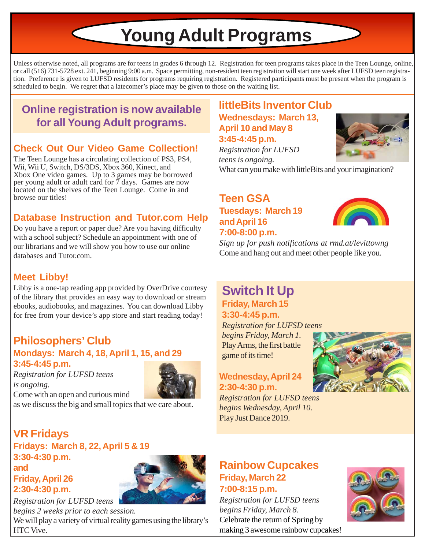# **Young Adult Programs**

Unless otherwise noted, all programs are for teens in grades 6 through 12. Registration for teen programs takes place in the Teen Lounge, online, or call (516) 731-5728 ext. 241, beginning 9:00 a.m. Space permitting, non-resident teen registration will start one week after LUFSD teen registration. Preference is given to LUFSD residents for programs requiring registration. Registered participants must be present when the program is scheduled to begin. We regret that a latecomer's place may be given to those on the waiting list.

## **Online registration is now available for all Young Adult programs.**

## **Check Out Our Video Game Collection!**

The Teen Lounge has a circulating collection of PS3, PS4, Wii, Wii U, Switch, DS/3DS, Xbox 360, Kinect, and Xbox One video games. Up to 3 games may be borrowed per young adult or adult card for  $\overline{7}$  days. Games are now located on the shelves of the Teen Lounge. Come in and browse our titles!

## **Database Instruction and Tutor.com Help**

Do you have a report or paper due? Are you having difficulty with a school subject? Schedule an appointment with one of our librarians and we will show you how to use our online databases and Tutor.com.

## **Meet Libby!**

Libby is a one-tap reading app provided by OverDrive courtesy of the library that provides an easy way to download or stream ebooks, audiobooks, and magazines. You can download Libby for free from your device's app store and start reading today!

## **Philosophers' Club Mondays: March 4, 18, April 1, 15, and 29 3:45-4:45 p.m.**

*Registration for LUFSD teens is ongoing.* Come with an open and curious mind



as we discuss the big and small topics that we care about.

## **VR Fridays**

**Fridays: March 8, 22, April 5 & 19 3:30-4:30 p.m. and Friday, April 26 2:30-4:30 p.m.**



### *Registration for LUFSD teens begins 2 weeks prior to each session.* We will play a variety of virtual reality games using the library's HTC Vive.

## **littleBits Inventor Club Wednesdays: March 13, April 10 and May 8 3:45-4:45 p.m.**



*Registration for LUFSD teens is ongoing.* What can you make with littleBits and your imagination?

## **Teen GSA Tuesdays: March 19 and April 16 7:00-8:00 p.m.**



*Sign up for push notifications at rmd.at/levittowng* Come and hang out and meet other people like you.

## **Friday, March 15 3:30-4:45 p.m. Switch It Up**

*Registration for LUFSD teens begins Friday, March 1.* Play Arms, the first battle game of its time!

## **Wednesday, April 24 2:30-4:30 p.m.**

*Registration for LUFSD teens begins Wednesday, April 10.* Play Just Dance 2019.



## **Rainbow Cupcakes Friday, March 22 7:00-8:15 p.m.**

*Registration for LUFSD teens begins Friday, March 8.* Celebrate the return of Spring by making 3 awesome rainbow cupcakes!

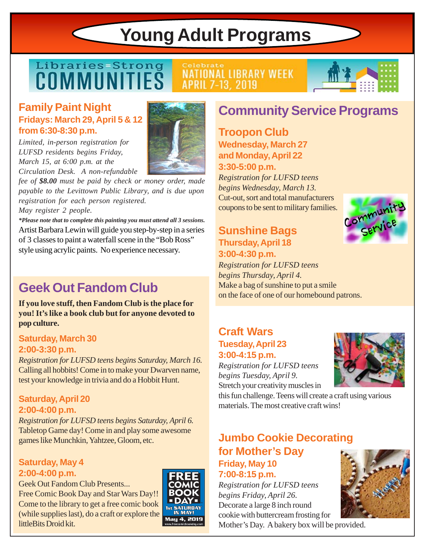# **Young Adult Programs**

## Libraries-Strong COMMUNITIES

## **NATIONAL LIBRARY WEEK APRIL 7-13, 2019**

Celebrate

## **Family Paint Night Fridays: March 29, April 5 & 12 from 6:30-8:30 p.m.**

*Limited, in-person registration for LUFSD residents begins Friday, March 15, at 6:00 p.m. at the Circulation Desk. A non-refundable*



*fee of \$8.00 must be paid by check or money order, made payable to the Levittown Public Library, and is due upon registration for each person registered.*

*May register 2 people.*

Artist Barbara Lewin will guide you step-by-step in a series of 3 classes to paint a waterfall scene in the "Bob Ross" style using acrylic paints. No experience necessary. *\*Please note that to complete this painting you must attend all 3 sessions.*

## **Geek Out Fandom Club**

**If you love stuff, then Fandom Club is the place for you! It's like a book club but for anyone devoted to pop culture.**

## **Saturday, March 30 2:00-3:30 p.m.**

*Registration for LUFSD teens begins Saturday, March 16.* Calling all hobbits! Come in to make your Dwarven name, test your knowledge in trivia and do a Hobbit Hunt.

## **Saturday, April 20 2:00-4:00 p.m.**

*Registration for LUFSD teens begins Saturday, April 6.* Tabletop Game day! Come in and play some awesome games like Munchkin, Yahtzee, Gloom, etc.

## **Saturday, May 4 2:00-4:00 p.m.**

Geek Out Fandom Club Presents... Free Comic Book Day and Star Wars Day!! Come to the library to get a free comic book (while supplies last), do a craft or explore the littleBits Droid kit.



## **Community Service Programs**

**Troopon Club Wednesday, March 27 and Monday, April 22 3:30-5:00 p.m.**

*Registration for LUFSD teens begins Wednesday, March 13.* Cut-out, sort and total manufacturers coupons to be sent to military families.

## **Sunshine Bags Thursday, April 18 3:00-4:30 p.m.**

*Registration for LUFSD teens begins Thursday, April 4.* Make a bag of sunshine to put a smile on the face of one of our homebound patrons.

## **Craft Wars Tuesday, April 23 3:00-4:15 p.m.**

*Registration for LUFSD teens begins Tuesday, April 9.* Stretch your creativity muscles in



Community

this fun challenge. Teens will create a craft using various materials. The most creative craft wins!

## **Jumbo Cookie Decorating for Mother's Day Friday, May 10 7:00-8:15 p.m.**

*Registration for LUFSD teens begins Friday, April 26.* Decorate a large 8 inch round cookie with buttercream frosting for Mother's Day. A bakery box will be provided.

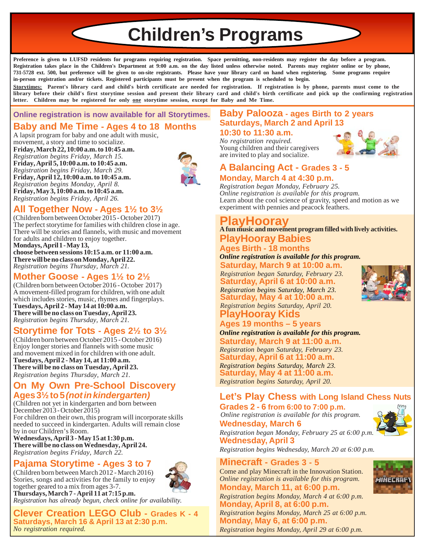**Children's Programs**

**Preference is given to LUFSD residents for programs requiring registration. Space permitting, non-residents may register the day before a program. Registration takes place in the Children's Department at 9:00 a.m. on the day listed unless otherwise noted. Parents may register online or by phone, 731-5728 ext. 500, but preference will be given to on-site registrants. Please have your library card on hand when registering. Some programs require in-person registration and/or tickets. Registered participants must be present when the program is scheduled to begin.**

**Storytimes: Parent's library card and child's birth certificate are needed for registration. If registration is by phone, parents must come to the library before their child's first storytime session and present their library card and child's birth certificate and pick up the confirming registration letter. Children may be registered for only one storytime session, except for Baby and Me Time.**

## **Online registration is now available for all Storytimes.**

## **Baby and Me Time - Ages 4 to 18 Months**

**Friday, March 22, 10:00 a.m. to 10:45 a.m.** *Registration begins Friday, March 15.* **Friday, April 5, 10:00 a.m. to 10:45 a.m.** *Registration begins Friday, March 29.* **Friday, April 12, 10:00 a.m. to 10:45 a.m.** *Registration begins Monday, April 8.* **Friday, May 3, 10:00 a.m. to 10:45 a.m.** *Registration begins Friday, April 26.* A lapsit program for baby and one adult with music, movement, a story and time to socialize.



## **All Together Now - Ages 1½ to 3½**

(Children born between October 2015 - October 2017) The perfect storytime for families with children close in age. There will be stories and flannels, with music and movement for adults and children to enjoy together. **Mondays, April 1 - May 13, choose between sessions 10:15 a.m. or 11:00 a.m. There will be no class on Monday, April 22.** *Registration begins Thursday, March 21.*

## **Mother Goose - Ages 1½ to 2½**

(Children born between October 2016 - October 2017) A movement-filled program for children, with one adult which includes stories, music, rhymes and fingerplays. **Tuesdays, April 2 - May 14 at 10:00 a.m. There will be no class on Tuesday, April 23.** *Registration begins Thursday, March 21.*

## **Storytime for Tots - Ages 2½ to 3½**

(Children born between October 2015 - October 2016) Enjoy longer stories and flannels with some music and movement mixed in for children with one adult. **Tuesdays, April 2 - May 14, at 11:00 a.m. There will be no class on Tuesday, April 23.** *Registration begins Thursday, March 21.*

### **On My Own Pre-School Discovery Ages 3½ to 5** *(not in kindergarten)*

(Children not yet in kindergarten and born between December 2013 - October 2015) For children on their own, this program will incorporate skills needed to succeed in kindergarten. Adults will remain close by in our Children's Room.

**Wednesdays, April 3 - May 15 at 1:30 p.m. There will be no class on Wednesday, April 24.** *Registration begins Friday, March 22.*

### **Pajama Storytime - Ages 3 to 7**

(Children born between March 2012 - March 2016) Stories, songs and activities for the family to enjoy together geared to a mix from ages 3-7. **Thursdays, March 7 - April 11 at 7:15 p.m.**



## *Registration has already begun, check online for availability.*

**Clever Creation LEGO Club - Grades K - 4 Saturdays, March 16 & April 13 at 2:30 p.m.** *No registration required.*

## **Baby Palooza - ages Birth to 2 years Saturdays, March 2 and April 13**

**10:30 to 11:30 a.m.** *No registration required.* Young children and their caregivers are invited to play and socialize.



## **A Balancing Act - Grades 3 - 5 Monday, March 4 at 4:30 p.m.**

*Registration began Monday, February 25. Online registration is available for this program.* Learn about the cool science of gravity, speed and motion as we experiment with pennies and peacock feathers.

## **PlayHooray**

**A fun music and movement program filled with lively activities.**

### **PlayHooray Babies Ages Birth - 18 months**

*Online registration is available for this program.*

**Saturday, March 9 at 10:00 a.m.** *Registration began Saturday, February 23.* **Saturday, April 6 at 10:00 a.m.**

*Registration begins Saturday, March 23.* **Saturday, May 4 at 10:00 a.m.**

### **PlayHooray Kids** *Registration begins Saturday, April 20.*

### **Ages 19 months – 5 years**

*Online registration is available for this program.*

**Saturday, March 9 at 11:00 a.m.** *Registration began Saturday, February 23.* **Saturday, April 6 at 11:00 a.m.** *Registration begins Saturday, March 23.* **Saturday, May 4 at 11:00 a.m.** *Registration begins Saturday, April 20.*

## **Let's Play Chess with Long Island Chess Nuts**

**Grades 2 - 6 from 6:00 to 7:00 p.m. Wednesday, March 6** *Online registration is available for this program.*



**INELRRF** 

*Registration began Monday, February 25 at 6:00 p.m.* **Wednesday, April 3**

*Registration begins Wednesday, March 20 at 6:00 p.m.*

### **Minecraft - Grades 3 - 5**

Come and play Minecraft in the Innovation Station. *Online registration is available for this program.*

**Monday, March 11, at 6:00 p.m.**

*Registration begins Monday, March 4 at 6:00 p.m.* **Monday, April 8, at 6:00 p.m.**

*Registration begins Monday, March 25 at 6:00 p.m.* **Monday, May 6, at 6:00 p.m.** *Registration begins Monday, April 29 at 6:00 p.m.*

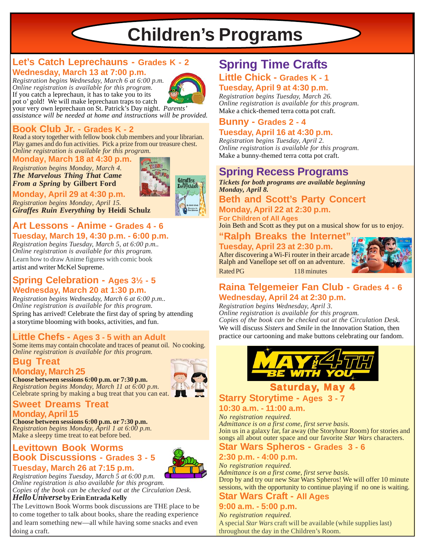## **Children's Programs**

## **Let's Catch Leprechauns - Grades K - 2 Wednesday, March 13 at 7:00 p.m.**

*Registration begins Wednesday, March 6 at 6:00 p.m. Online registration is available for this program.* If you catch a leprechaun, it has to take you to its pot o' gold! We will make leprechaun traps to catch



your very own leprechaun on St. Patrick's Day night. *Parents' assistance will be needed at home and instructions will be provided.*

### **Book Club Jr. - Grades K - 2**

*Online registration is available for this program.* Read a story together with fellow book club members and your librarian. Play games and do fun activities. Pick a prize from our treasure chest.

**Monday, March 18 at 4:30 p.m.**

*Registration begins Monday, March 4. The Marvelous Thing That Came From a Spring* **by Gilbert Ford**



**Monday, April 29 at 4:30 p.m.** *Registration begins Monday, April 15. Giraffes Ruin Everything* **by Heidi Schulz**

### **Art Lessons - Anime - Grades 4 - 6 Tuesday, March 19, 4:30 p.m. - 6:00 p.m.**

*Registration begins Tuesday, March 5, at 6:00 p.m.. Online registration is available for this program.* Learn how to draw Anime figures with comic book artist and writer McKel Supreme.

### **Spring Celebration - Ages 3½ - 5 Wednesday, March 20 at 1:30 p.m.**

*Registration begins Wednesday, March 6 at 6:00 p.m.. Online registration is available for this program.* Spring has arrived! Celebrate the first day of spring by attending a storytime blooming with books, activities, and fun.

## **Little Chefs - Ages 3 - 5 with an Adult**

Some items may contain chocolate and traces of peanut oil. No cooking. *Online registration is available for this program.*

### **Bug Treat Monday, March 25**

**Choose between sessions 6:00 p.m. or 7:30 p.m.** *Registration begins Monday, March 11 at 6:00 p.m.* Celebrate spring by making a bug treat that you can eat.



### **Sweet Dreams Treat Monday, April 15**

**Choose between sessions 6:00 p.m. or 7:30 p.m.** *Registration begins Monday, April 1 at 6:00 p.m.* Make a sleepy time treat to eat before bed.

## **Levittown Book Worms Book Discussions - Grades 3 - 5**



## **Tuesday, March 26 at 7:15 p.m.**

*Registration begins Tuesday, March 5 at 6:00 p.m. Online registration is also available for this program. Copies of the book can be checked out at the Circulation Desk.*

### *Hello Universe* **by Erin Entrada Kelly**

The Levittown Book Worms book discussions are THE place to be to come together to talk about books, share the reading experience and learn something new—all while having some snacks and even doing a craft.

## **Little Chick - Grades K - 1 Tuesday, April 9 at 4:30 p.m. Spring Time Crafts**

*Registration begins Tuesday, March 26. Online registration is available for this program.* Make a chick-themed terra cotta pot craft.

## **Bunny - Grades 2 - 4**

### **Tuesday, April 16 at 4:30 p.m.**

*Registration begins Tuesday, April 2. Online registration is available for this program.* Make a bunny-themed terra cotta pot craft.

## **Spring Recess Programs**

*Tickets for both programs are available beginning Monday, April 8.*

**Beth and Scott's Party Concert Monday, April 22 at 2:30 p.m.**

**For Children of All Ages**

Join Beth and Scott as they put on a musical show for us to enjoy.

### **"Ralph Breaks the Internet"**

## **Tuesday, April 23 at 2:30 p.m.**

After discovering a Wi-Fi router in their arcade Ralph and Vanellope set off on an adventure. Rated PG 118 minutes



## **Raina Telgemeier Fan Club - Grades 4 - 6 Wednesday, April 24 at 2:30 p.m.**

*Registration begins Wednesday, April 3. Online registration is available for this program.*

*Copies of the book can be checked out at the Circulation Desk.* We will discuss *Sisters* and *Smile* in the Innovation Station, then practice our cartooning and make buttons celebrating our fandom.



## aturday, Ma **Starry Storytime - Ages 3 - 7**

**10:30 a.m. - 11:00 a.m.**

*No registration required. Admittance is on a first come, first serve basis.* Join us in a galaxy far, far away (the Storyhour Room) for stories and songs all about outer space and our favorite *Star Wars* characters.

## **Star Wars Spheros - Grades 3 - 6**

### **2:30 p.m. - 4:00 p.m.**

*No registration required. Admittance is on a first come, first serve basis.* Drop by and try our new Star Wars Spheros! We will offer 10 minute sessions, with the opportunity to continue playing if no one is waiting.

## **Star Wars Craft - All Ages**

## **9:00 a.m. - 5:00 p.m.**

*No registration required.* A special *Star Wars* craft will be available (while supplies last) throughout the day in the Children's Room.